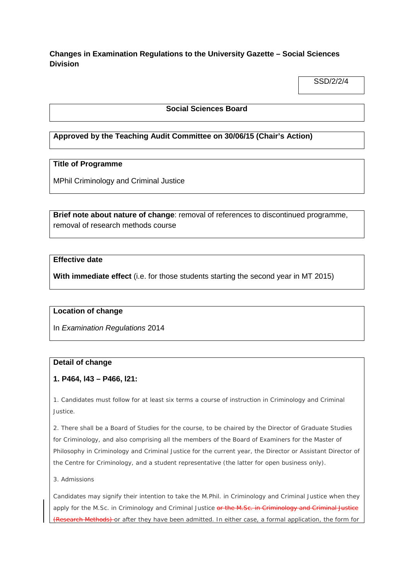# **Changes in Examination Regulations to the University Gazette – Social Sciences Division**

SSD/2/2/4

### **Social Sciences Board**

# **Approved by the Teaching Audit Committee on 30/06/15 (Chair's Action)**

## **Title of Programme**

MPhil Criminology and Criminal Justice

**Brief note about nature of change**: removal of references to discontinued programme, removal of research methods course

## **Effective date**

**With immediate effect** (i.e. for those students starting the second year in MT 2015)

### **Location of change**

In *Examination Regulations* 2014

### **Detail of change**

### **1. P464, l43 – P466, l21:**

1. Candidates must follow for at least six terms a course of instruction in Criminology and Criminal Justice.

2. There shall be a Board of Studies for the course, to be chaired by the Director of Graduate Studies for Criminology, and also comprising all the members of the Board of Examiners for the Master of Philosophy in Criminology and Criminal Justice for the current year, the Director or Assistant Director of the Centre for Criminology, and a student representative (the latter for open business only).

#### 3. *Admissions*

Candidates may signify their intention to take the M.Phil. in Criminology and Criminal Justice when they apply for the M.Sc. in Criminology and Criminal Justice or the M.Sc. in Criminology and Criminal Justice earch Methods) or after they have been admitted. In either case, a formal application, the form for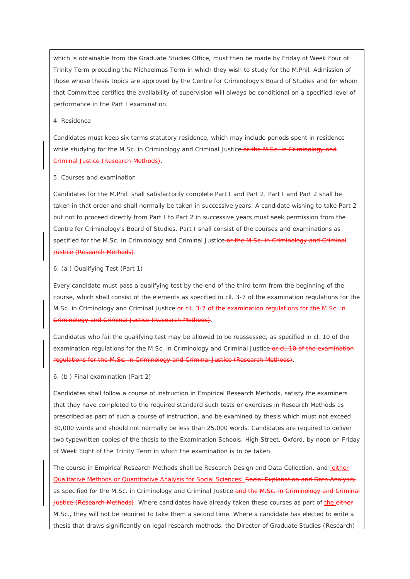which is obtainable from the Graduate Studies Office, must then be made by Friday of Week Four of Trinity Term preceding the Michaelmas Term in which they wish to study for the M.Phil. Admission of those whose thesis topics are approved by the Centre for Criminology's Board of Studies and for whom that Committee certifies the availability of supervision will always be conditional on a specified level of performance in the Part I examination.

#### 4. *Residence*

Candidates must keep six terms statutory residence, which may include periods spent in residence while studying for the M.Sc. in Criminology and Criminal Justice or the M.Se. in Criminology and Criminal Justice (Research Methods).

#### 5. *Courses and examination*

Candidates for the M.Phil. shall satisfactorily complete Part I and Part 2. Part I and Part 2 shall be taken in that order and shall normally be taken in successive years. A candidate wishing to take Part 2 but not to proceed directly from Part I to Part 2 in successive years must seek permission from the Centre for Criminology's Board of Studies. Part I shall consist of the courses and examinations as specified for the M.Sc. in Criminology and Criminal Justice-or the M.Sc. in Criminology and Criminal Justice (Research Methods).

#### 6. (*a* ) *Qualifying Test (Part* 1*)*

Every candidate must pass a qualifying test by the end of the third term from the beginning of the course, which shall consist of the elements as specified in cll. 3-7 of the examination regulations for the M.Sc. in Criminology and Criminal Justice or cll. 3-7 of the examination regulations for the M.Sc. in Criminology and Criminal Justice (Research Methods).

Candidates who fail the qualifying test may be allowed to be reassessed, as specified in cl. 10 of the examination regulations for the M.Sc. in Criminology and Criminal Justice-or cl. 10 of the examination regulations for the M.Sc. in Criminology and Criminal Justice (Research Methods).

#### 6. (*b* ) *Final examination (Part* 2*)*

Candidates shall follow a course of instruction in Empirical Research Methods, satisfy the examiners that they have completed to the required standard such tests or exercises in Research Methods as prescribed as part of such a course of instruction, and be examined by thesis which must not exceed 30,000 words and should not normally be less than 25,000 words. Candidates are required to deliver two typewritten copies of the thesis to the Examination Schools, High Street, Oxford, by noon on Friday of Week Eight of the Trinity Term in which the examination is to be taken.

The course in Empirical Research Methods shall be Research Design and Data Collection, and either Qualitative Methods or Quantitative Analysis for Social Sciences, Social Explanation and Data Analysis, as specified for the M.Sc. in Criminology and Criminal Justice and the M.Sc. in Criminology and Criminal Justice (Research Methods). Where candidates have already taken these courses as part of the either M.Sc., they will not be required to take them a second time. Where a candidate has elected to write a thesis that draws significantly on legal research methods, the Director of Graduate Studies (Research)